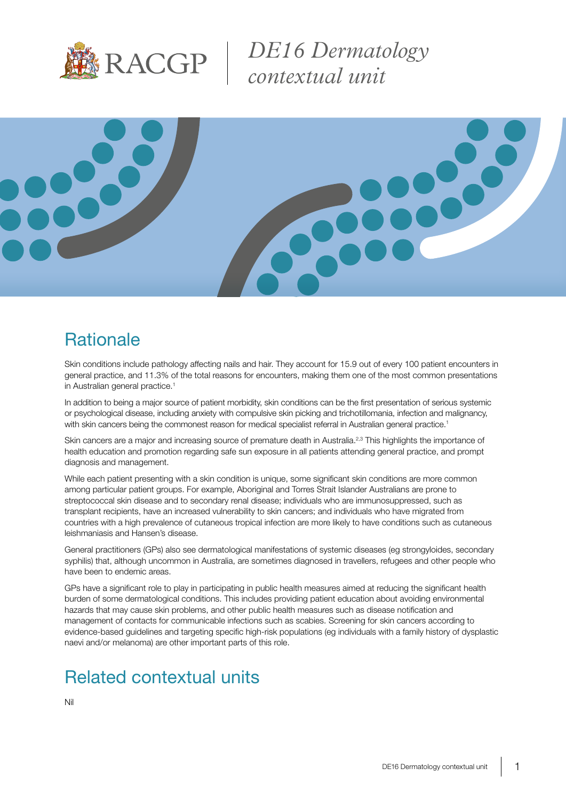

*DE16 Dermatology contextual unit*



# **Rationale**

Skin conditions include pathology affecting nails and hair. They account for 15.9 out of every 100 patient encounters in general practice, and 11.3% of the total reasons for encounters, making them one of the most common presentations in Australian general practice.<sup>1</sup>

In addition to being a major source of patient morbidity, skin conditions can be the first presentation of serious systemic or psychological disease, including anxiety with compulsive skin picking and trichotillomania, infection and malignancy, with skin cancers being the commonest reason for medical specialist referral in Australian general practice.<sup>1</sup>

Skin cancers are a major and increasing source of premature death in Australia.<sup>2,3</sup> This highlights the importance of health education and promotion regarding safe sun exposure in all patients attending general practice, and prompt diagnosis and management.

While each patient presenting with a skin condition is unique, some significant skin conditions are more common among particular patient groups. For example, Aboriginal and Torres Strait Islander Australians are prone to streptococcal skin disease and to secondary renal disease; individuals who are immunosuppressed, such as transplant recipients, have an increased vulnerability to skin cancers; and individuals who have migrated from countries with a high prevalence of cutaneous tropical infection are more likely to have conditions such as cutaneous leishmaniasis and Hansen's disease.

General practitioners (GPs) also see dermatological manifestations of systemic diseases (eg strongyloides, secondary syphilis) that, although uncommon in Australia, are sometimes diagnosed in travellers, refugees and other people who have been to endemic areas.

GPs have a significant role to play in participating in public health measures aimed at reducing the significant health burden of some dermatological conditions. This includes providing patient education about avoiding environmental hazards that may cause skin problems, and other public health measures such as disease notification and management of contacts for communicable infections such as scabies. Screening for skin cancers according to evidence-based guidelines and targeting specific high-risk populations (eg individuals with a family history of dysplastic naevi and/or melanoma) are other important parts of this role.

# Related contextual units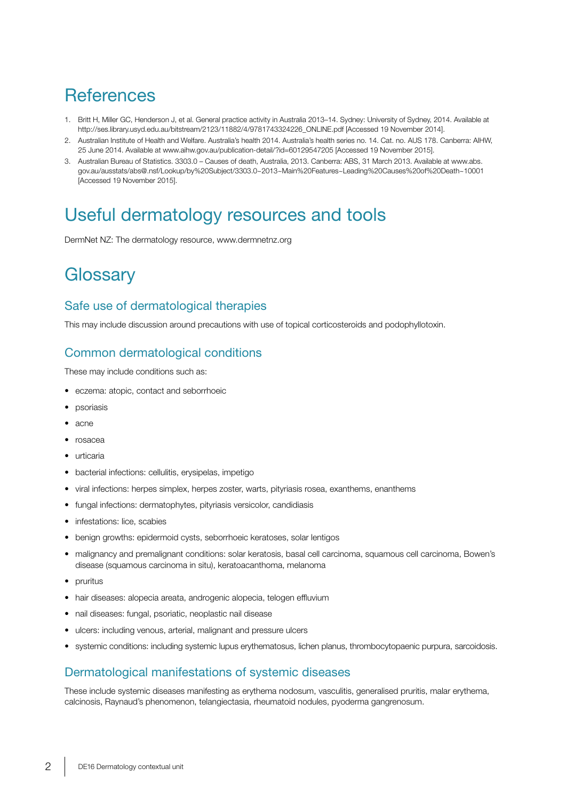# **References**

- 1. Britt H, Miller GC, Henderson J, et al. General practice activity in Australia 2013–14. Sydney: University of Sydney, 2014. Available at http://ses.library.usyd.edu.au/bitstream/2123/11882/4/9781743324226\_ONLINE.pdf [Accessed 19 November 2014].
- 2. Australian Institute of Health and Welfare. Australia's health 2014. Australia's health series no. 14. Cat. no. AUS 178. Canberra: AIHW, 25 June 2014. Available at www.aihw.gov.au/publication-detail/?id=60129547205 [Accessed 19 November 2015].
- 3. Australian Bureau of Statistics. 3303.0 Causes of death, Australia, 2013. Canberra: ABS, 31 March 2013. Available at www.abs. gov.au/ausstats/abs@.nsf/Lookup/by%20Subject/3303.0~2013~Main%20Features~Leading%20Causes%20of%20Death~10001 [Accessed 19 November 2015].

## Useful dermatology resources and tools

DermNet NZ: The dermatology resource, www.dermnetnz.org

## **Glossary**

#### Safe use of dermatological therapies

This may include discussion around precautions with use of topical corticosteroids and podophyllotoxin.

#### Common dermatological conditions

These may include conditions such as:

- eczema: atopic, contact and seborrhoeic
- **psoriasis**
- acne
- rosacea
- urticaria
- bacterial infections: cellulitis, erysipelas, impetigo
- viral infections: herpes simplex, herpes zoster, warts, pityriasis rosea, exanthems, enanthems
- fungal infections: dermatophytes, pityriasis versicolor, candidiasis
- infestations: lice, scabies
- benign growths: epidermoid cysts, seborrhoeic keratoses, solar lentigos
- malignancy and premalignant conditions: solar keratosis, basal cell carcinoma, squamous cell carcinoma, Bowen's disease (squamous carcinoma in situ), keratoacanthoma, melanoma
- pruritus
- hair diseases: alopecia areata, androgenic alopecia, telogen effluvium
- nail diseases: fungal, psoriatic, neoplastic nail disease
- ulcers: including venous, arterial, malignant and pressure ulcers
- systemic conditions: including systemic lupus erythematosus, lichen planus, thrombocytopaenic purpura, sarcoidosis.

### Dermatological manifestations of systemic diseases

These include systemic diseases manifesting as erythema nodosum, vasculitis, generalised pruritis, malar erythema, calcinosis, Raynaud's phenomenon, telangiectasia, rheumatoid nodules, pyoderma gangrenosum.